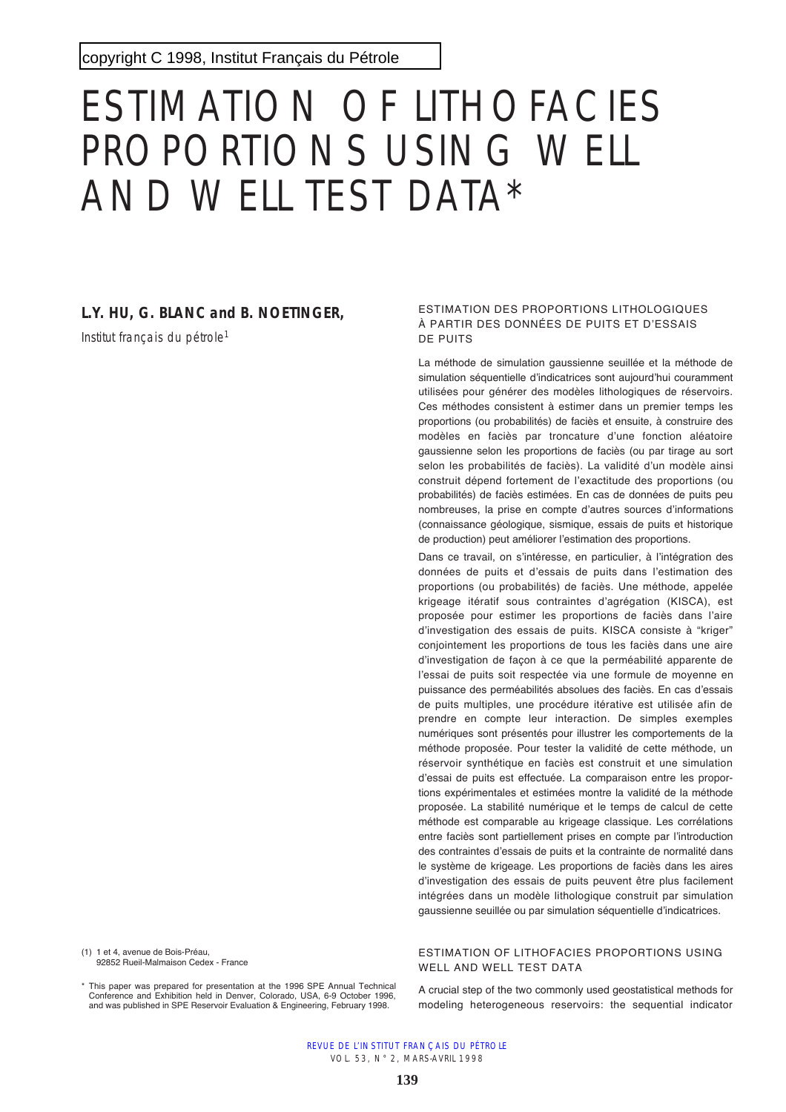# ESTIMATION OF LITHOFACIES PROPORTIONS USING WELL AND WELL TEST DATA\*

# **L.Y. HU, G. BLANC and B. NOETINGER,**

Institut français du pétrole<sup>1</sup>

(1) 1 et 4, avenue de Bois-Préau, 92852 Rueil-Malmaison Cedex - France

\* This paper was prepared for presentation at the 1996 SPE Annual Technical Conference and Exhibition held in Denver, Colorado, USA, 6-9 October 1996, and was published in SPE Reservoir Evaluation & Engineering, February 1998.

#### ESTIMATION DES PROPORTIONS LITHOLOGIQUES À PARTIR DES DONNÉES DE PUITS ET D'ESSAIS DE PUITS

La méthode de simulation gaussienne seuillée et la méthode de simulation séquentielle d'indicatrices sont aujourd'hui couramment utilisées pour générer des modèles lithologiques de réservoirs. Ces méthodes consistent à estimer dans un premier temps les proportions (ou probabilités) de faciès et ensuite, à construire des modèles en faciès par troncature d'une fonction aléatoire gaussienne selon les proportions de faciès (ou par tirage au sort selon les probabilités de faciès). La validité d'un modèle ainsi construit dépend fortement de l'exactitude des proportions (ou probabilités) de faciès estimées. En cas de données de puits peu nombreuses, la prise en compte d'autres sources d'informations (connaissance géologique, sismique, essais de puits et historique de production) peut améliorer l'estimation des proportions.

Dans ce travail, on s'intéresse, en particulier, à l'intégration des données de puits et d'essais de puits dans l'estimation des proportions (ou probabilités) de faciès. Une méthode, appelée krigeage itératif sous contraintes d'agrégation (KISCA), est proposée pour estimer les proportions de faciès dans l'aire d'investigation des essais de puits. KISCA consiste à "kriger" conjointement les proportions de tous les faciès dans une aire d'investigation de façon à ce que la perméabilité apparente de l'essai de puits soit respectée via une formule de moyenne en puissance des perméabilités absolues des faciès. En cas d'essais de puits multiples, une procédure itérative est utilisée afin de prendre en compte leur interaction. De simples exemples numériques sont présentés pour illustrer les comportements de la méthode proposée. Pour tester la validité de cette méthode, un réservoir synthétique en faciès est construit et une simulation d'essai de puits est effectuée. La comparaison entre les proportions expérimentales et estimées montre la validité de la méthode proposée. La stabilité numérique et le temps de calcul de cette méthode est comparable au krigeage classique. Les corrélations entre faciès sont partiellement prises en compte par l'introduction des contraintes d'essais de puits et la contrainte de normalité dans le système de krigeage. Les proportions de faciès dans les aires d'investigation des essais de puits peuvent être plus facilement intégrées dans un modèle lithologique construit par simulation gaussienne seuillée ou par simulation séquentielle d'indicatrices.

### ESTIMATION OF LITHOFACIES PROPORTIONS USING WELL AND WELL TEST DATA

A crucial step of the two commonly used geostatistical methods for modeling heterogeneous reservoirs: the sequential indicator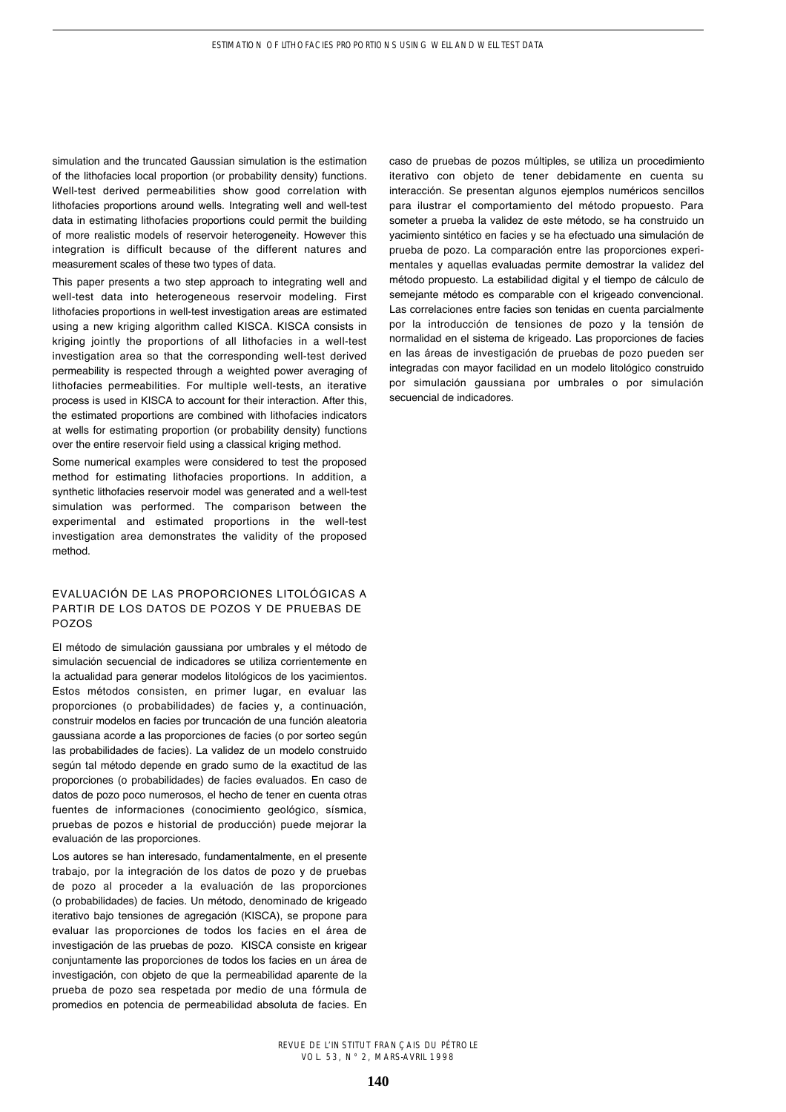simulation and the truncated Gaussian simulation is the estimation of the lithofacies local proportion (or probability density) functions. Well-test derived permeabilities show good correlation with lithofacies proportions around wells. Integrating well and well-test data in estimating lithofacies proportions could permit the building of more realistic models of reservoir heterogeneity. However this integration is difficult because of the different natures and measurement scales of these two types of data.

This paper presents a two step approach to integrating well and well-test data into heterogeneous reservoir modeling. First lithofacies proportions in well-test investigation areas are estimated using a new kriging algorithm called KISCA. KISCA consists in kriging jointly the proportions of all lithofacies in a well-test investigation area so that the corresponding well-test derived permeability is respected through a weighted power averaging of lithofacies permeabilities. For multiple well-tests, an iterative process is used in KISCA to account for their interaction. After this, the estimated proportions are combined with lithofacies indicators at wells for estimating proportion (or probability density) functions over the entire reservoir field using a classical kriging method.

Some numerical examples were considered to test the proposed method for estimating lithofacies proportions. In addition, a synthetic lithofacies reservoir model was generated and a well-test simulation was performed. The comparison between the experimental and estimated proportions in the well-test investigation area demonstrates the validity of the proposed method.

#### EVALUACIÓN DE LAS PROPORCIONES LITOLÓGICAS A PARTIR DE LOS DATOS DE POZOS Y DE PRUEBAS DE POZOS

El método de simulación gaussiana por umbrales y el método de simulación secuencial de indicadores se utiliza corrientemente en la actualidad para generar modelos litológicos de los yacimientos. Estos métodos consisten, en primer lugar, en evaluar las proporciones (o probabilidades) de facies y, a continuación, construir modelos en facies por truncación de una función aleatoria gaussiana acorde a las proporciones de facies (o por sorteo según las probabilidades de facies). La validez de un modelo construido según tal método depende en grado sumo de la exactitud de las proporciones (o probabilidades) de facies evaluados. En caso de datos de pozo poco numerosos, el hecho de tener en cuenta otras fuentes de informaciones (conocimiento geológico, sísmica, pruebas de pozos e historial de producción) puede mejorar la evaluación de las proporciones.

Los autores se han interesado, fundamentalmente, en el presente trabajo, por la integración de los datos de pozo y de pruebas de pozo al proceder a la evaluación de las proporciones (o probabilidades) de facies. Un método, denominado de krigeado iterativo bajo tensiones de agregación (KISCA), se propone para evaluar las proporciones de todos los facies en el área de investigación de las pruebas de pozo. KISCA consiste en krigear conjuntamente las proporciones de todos los facies en un área de investigación, con objeto de que la permeabilidad aparente de la prueba de pozo sea respetada por medio de una fórmula de promedios en potencia de permeabilidad absoluta de facies. En caso de pruebas de pozos múltiples, se utiliza un procedimiento iterativo con objeto de tener debidamente en cuenta su interacción. Se presentan algunos ejemplos numéricos sencillos para ilustrar el comportamiento del método propuesto. Para someter a prueba la validez de este método, se ha construido un yacimiento sintético en facies y se ha efectuado una simulación de prueba de pozo. La comparación entre las proporciones experimentales y aquellas evaluadas permite demostrar la validez del método propuesto. La estabilidad digital y el tiempo de cálculo de semejante método es comparable con el krigeado convencional. Las correlaciones entre facies son tenidas en cuenta parcialmente por la introducción de tensiones de pozo y la tensión de normalidad en el sistema de krigeado. Las proporciones de facies en las áreas de investigación de pruebas de pozo pueden ser integradas con mayor facilidad en un modelo litológico construido por simulación gaussiana por umbrales o por simulación secuencial de indicadores.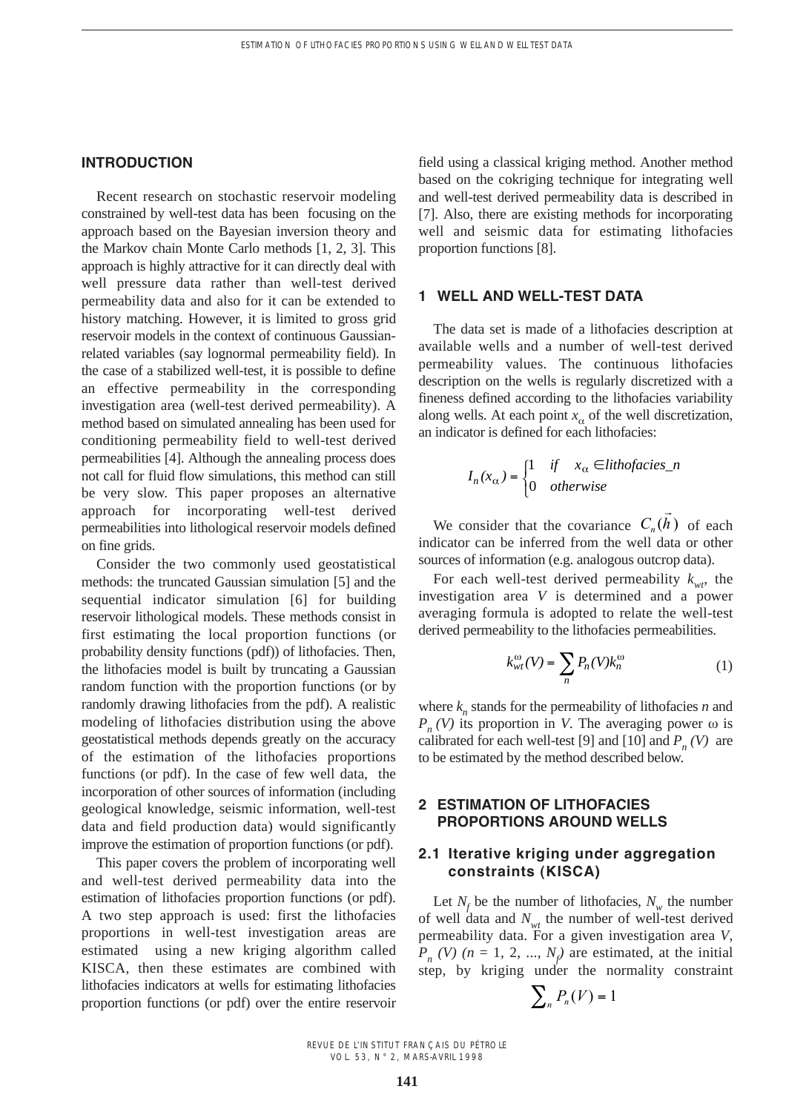## **INTRODUCTION**

Recent research on stochastic reservoir modeling constrained by well-test data has been focusing on the approach based on the Bayesian inversion theory and the Markov chain Monte Carlo methods [1, 2, 3]. This approach is highly attractive for it can directly deal with well pressure data rather than well-test derived permeability data and also for it can be extended to history matching. However, it is limited to gross grid reservoir models in the context of continuous Gaussianrelated variables (say lognormal permeability field). In the case of a stabilized well-test, it is possible to define an effective permeability in the corresponding investigation area (well-test derived permeability). A method based on simulated annealing has been used for conditioning permeability field to well-test derived permeabilities [4]. Although the annealing process does not call for fluid flow simulations, this method can still be very slow. This paper proposes an alternative approach for incorporating well-test derived permeabilities into lithological reservoir models defined on fine grids.

Consider the two commonly used geostatistical methods: the truncated Gaussian simulation [5] and the sequential indicator simulation [6] for building reservoir lithological models. These methods consist in first estimating the local proportion functions (or probability density functions (pdf)) of lithofacies. Then, the lithofacies model is built by truncating a Gaussian random function with the proportion functions (or by randomly drawing lithofacies from the pdf). A realistic modeling of lithofacies distribution using the above geostatistical methods depends greatly on the accuracy of the estimation of the lithofacies proportions functions (or pdf). In the case of few well data, the incorporation of other sources of information (including geological knowledge, seismic information, well-test data and field production data) would significantly improve the estimation of proportion functions (or pdf).

This paper covers the problem of incorporating well and well-test derived permeability data into the estimation of lithofacies proportion functions (or pdf). A two step approach is used: first the lithofacies proportions in well-test investigation areas are estimated using a new kriging algorithm called KISCA, then these estimates are combined with lithofacies indicators at wells for estimating lithofacies proportion functions (or pdf) over the entire reservoir field using a classical kriging method. Another method based on the cokriging technique for integrating well and well-test derived permeability data is described in [7]. Also, there are existing methods for incorporating well and seismic data for estimating lithofacies proportion functions [8].

## **1 WELL AND WELL-TEST DATA**

The data set is made of a lithofacies description at available wells and a number of well-test derived permeability values. The continuous lithofacies description on the wells is regularly discretized with a fineness defined according to the lithofacies variability along wells. At each point  $x_{\alpha}$  of the well discretization, an indicator is defined for each lithofacies:

$$
I_n(x_\alpha) = \begin{cases} 1 & \text{if} \quad x_\alpha \in \text{lithofacies\_n} \\ 0 & \text{otherwise} \end{cases}
$$

We consider that the covariance  $C_n(h)$  of each indicator can be inferred from the well data or other sources of information (e.g. analogous outcrop data).  $\overline{\phantom{a}}$ 

For each well-test derived permeability  $k_{w}$ , the investigation area *V* is determined and a power averaging formula is adopted to relate the well-test derived permeability to the lithofacies permeabilities.

$$
k_{wt}^{\omega}(V) = \sum_{n} P_n(V) k_n^{\omega}
$$
 (1)

where  $k_n$  stands for the permeability of lithofacies  $n$  and  $P_n$  (V) its proportion in V. The averaging power  $\omega$  is calibrated for each well-test [9] and [10] and  $P_n(V)$  are to be estimated by the method described below.

## **2 ESTIMATION OF LITHOFACIES PROPORTIONS AROUND WELLS**

## **2.1 Iterative kriging under aggregation constraints (KISCA)**

Let  $N_f$  be the number of lithofacies,  $N_w$  the number of well data and  $N_{wt}$  the number of well-test derived permeability data. For a given investigation area *V*,  $P_n$  (V) ( $n = 1, 2, ..., N_f$ ) are estimated, at the initial step, by kriging under the normality constraint

$$
\sum_{n} P_{n}(V) = 1
$$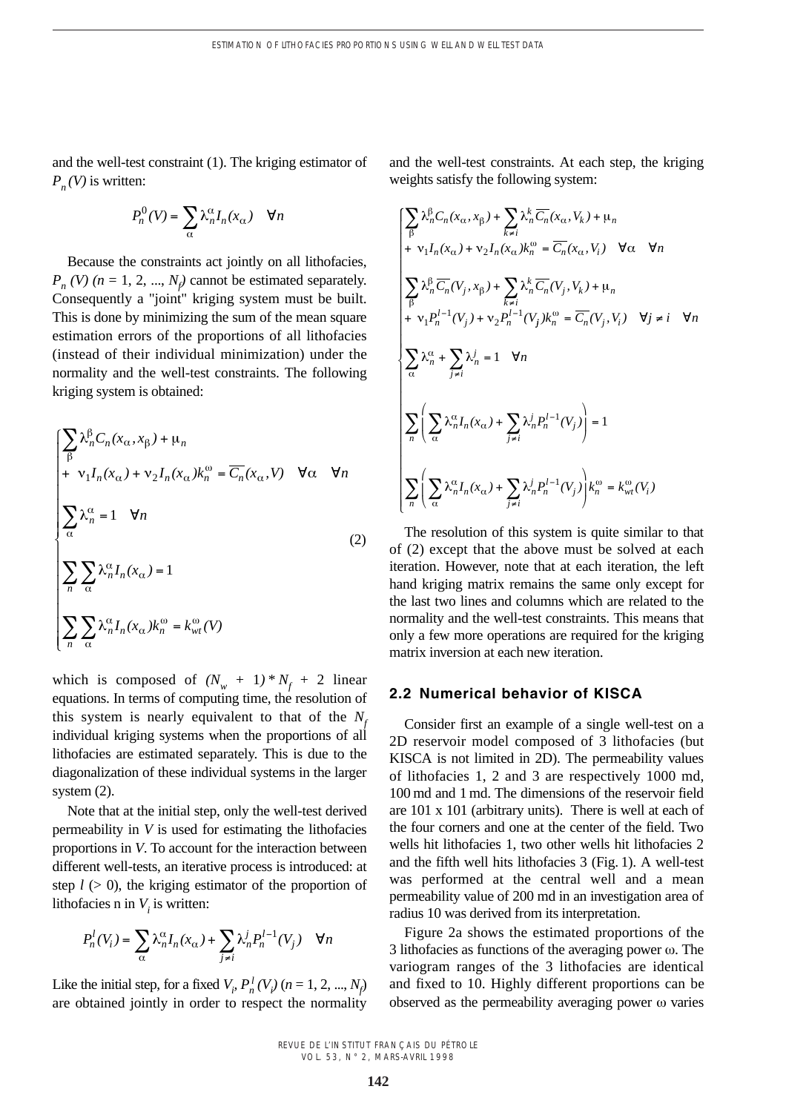and the well-test constraint (1). The kriging estimator of  $P_n(V)$  is written:

$$
P_n^0(V) = \sum_{\alpha} \lambda_n^{\alpha} I_n(x_{\alpha}) \quad \forall n
$$

Because the constraints act jointly on all lithofacies,  $P_n$  *(V) (n* = 1, 2, ...,  $N_f$  cannot be estimated separately. Consequently a "joint" kriging system must be built. This is done by minimizing the sum of the mean square estimation errors of the proportions of all lithofacies (instead of their individual minimization) under the normality and the well-test constraints. The following kriging system is obtained:

$$
\begin{cases}\n\sum_{\beta} \lambda_n^{\beta} C_n(x_{\alpha}, x_{\beta}) + \mu_n \\
+ \nu_1 I_n(x_{\alpha}) + \nu_2 I_n(x_{\alpha}) k_n^{\omega} = \overline{C_n}(x_{\alpha}, V) \quad \forall \alpha \quad \forall n \\
\sum_{\alpha} \lambda_n^{\alpha} = 1 \quad \forall n \\
\sum_{n} \sum_{\alpha} \lambda_n^{\alpha} I_n(x_{\alpha}) = 1 \\
\sum_{n} \sum_{\alpha} \lambda_n^{\alpha} I_n(x_{\alpha}) k_n^{\omega} = k_{wt}^{\omega}(V)\n\end{cases}
$$
\n(2)

which is composed of  $(N_w + 1) * N_f + 2$  linear equations. In terms of computing time, the resolution of this system is nearly equivalent to that of the  $N_f$ individual kriging systems when the proportions of all lithofacies are estimated separately. This is due to the diagonalization of these individual systems in the larger system (2).

Note that at the initial step, only the well-test derived permeability in *V* is used for estimating the lithofacies proportions in *V*. To account for the interaction between different well-tests, an iterative process is introduced: at step  $l$  ( $>$  0), the kriging estimator of the proportion of lithofacies n in  $V_i$  is written:

$$
P_n^l(V_i) = \sum_{\alpha} \lambda_n^{\alpha} I_n(x_{\alpha}) + \sum_{j \neq i} \lambda_n^j P_n^{l-1}(V_j) \quad \forall n
$$

Like the initial step, for a fixed  $V_i$ ,  $P_n^l(V_i)$  ( $n = 1, 2, ..., N_f$ ) are obtained jointly in order to respect the normality and the well-test constraints. At each step, the kriging weights satisfy the following system:

$$
\begin{cases}\n\sum_{\beta} \lambda_n^{\beta} C_n(x_{\alpha}, x_{\beta}) + \sum_{k \neq i} \lambda_n^k \overline{C_n}(x_{\alpha}, V_k) + \mu_n \\
+ \nu_1 I_n(x_{\alpha}) + \nu_2 I_n(x_{\alpha}) k_n^{\omega} = \overline{C_n}(x_{\alpha}, V_i) \quad \forall \alpha \quad \forall n \\
\sum_{\beta} \lambda_n^{\beta} \overline{C_n}(V_j, x_{\beta}) + \sum_{k \neq i} \lambda_n^k \overline{C_n}(V_j, V_k) + \mu_n \\
+ \nu_1 P_n^{l-1}(V_j) + \nu_2 P_n^{l-1}(V_j) k_n^{\omega} = \overline{C_n}(V_j, V_i) \quad \forall j \neq i \quad \forall n \\
\sum_{\alpha} \lambda_n^{\alpha} + \sum_{j \neq i} \lambda_n^j = 1 \quad \forall n \\
\sum_{n} \left( \sum_{\alpha} \lambda_n^{\alpha} I_n(x_{\alpha}) + \sum_{j \neq i} \lambda_n^j P_n^{l-1}(V_j) \right) = 1 \\
\sum_{n} \left( \sum_{\alpha} \lambda_n^{\alpha} I_n(x_{\alpha}) + \sum_{j \neq i} \lambda_n^j P_n^{l-1}(V_j) \right) k_n^{\omega} = k_{wt}^{\omega}(V_i)\n\end{cases}
$$

The resolution of this system is quite similar to that of (2) except that the above must be solved at each iteration. However, note that at each iteration, the left hand kriging matrix remains the same only except for the last two lines and columns which are related to the normality and the well-test constraints. This means that only a few more operations are required for the kriging matrix inversion at each new iteration.

## **2.2 Numerical behavior of KISCA**

Consider first an example of a single well-test on a 2D reservoir model composed of 3 lithofacies (but KISCA is not limited in 2D). The permeability values of lithofacies 1, 2 and 3 are respectively 1000 md, 100 md and 1 md. The dimensions of the reservoir field are 101 x 101 (arbitrary units). There is well at each of the four corners and one at the center of the field. Two wells hit lithofacies 1, two other wells hit lithofacies 2 and the fifth well hits lithofacies 3 (Fig. 1). A well-test was performed at the central well and a mean permeability value of 200 md in an investigation area of radius 10 was derived from its interpretation.

Figure 2a shows the estimated proportions of the 3 lithofacies as functions of the averaging power  $\omega$ . The variogram ranges of the 3 lithofacies are identical and fixed to 10. Highly different proportions can be observed as the permeability averaging power  $\omega$  varies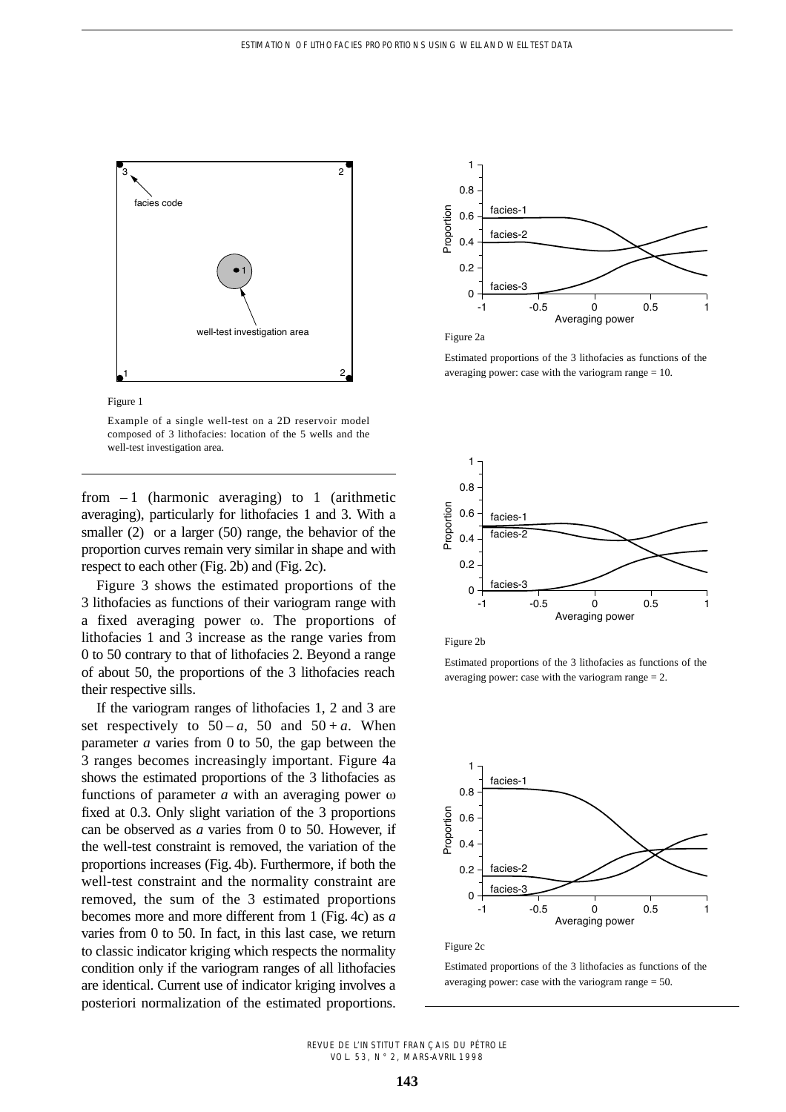



Example of a single well-test on a 2D reservoir model composed of 3 lithofacies: location of the 5 wells and the well-test investigation area.

from  $-1$  (harmonic averaging) to 1 (arithmetic averaging), particularly for lithofacies 1 and 3. With a smaller (2) or a larger (50) range, the behavior of the proportion curves remain very similar in shape and with respect to each other (Fig. 2b) and (Fig. 2c).

Figure 3 shows the estimated proportions of the 3 lithofacies as functions of their variogram range with a fixed averaging power  $\omega$ . The proportions of lithofacies 1 and 3 increase as the range varies from 0 to 50 contrary to that of lithofacies 2. Beyond a range of about 50, the proportions of the 3 lithofacies reach their respective sills.

If the variogram ranges of lithofacies 1, 2 and 3 are set respectively to  $50 - a$ ,  $50$  and  $50 + a$ . When parameter *a* varies from 0 to 50, the gap between the 3 ranges becomes increasingly important. Figure 4a shows the estimated proportions of the 3 lithofacies as functions of parameter  $a$  with an averaging power  $\omega$ fixed at 0.3. Only slight variation of the 3 proportions can be observed as *a* varies from 0 to 50. However, if the well-test constraint is removed, the variation of the proportions increases (Fig. 4b). Furthermore, if both the well-test constraint and the normality constraint are removed, the sum of the 3 estimated proportions becomes more and more different from 1 (Fig. 4c) as *a* varies from 0 to 50. In fact, in this last case, we return to classic indicator kriging which respects the normality condition only if the variogram ranges of all lithofacies are identical. Current use of indicator kriging involves a posteriori normalization of the estimated proportions.



Figure 2a

Estimated proportions of the 3 lithofacies as functions of the averaging power: case with the variogram range  $= 10$ .



Figure 2b

Estimated proportions of the 3 lithofacies as functions of the averaging power: case with the variogram range = 2.



#### Figure 2c

Estimated proportions of the 3 lithofacies as functions of the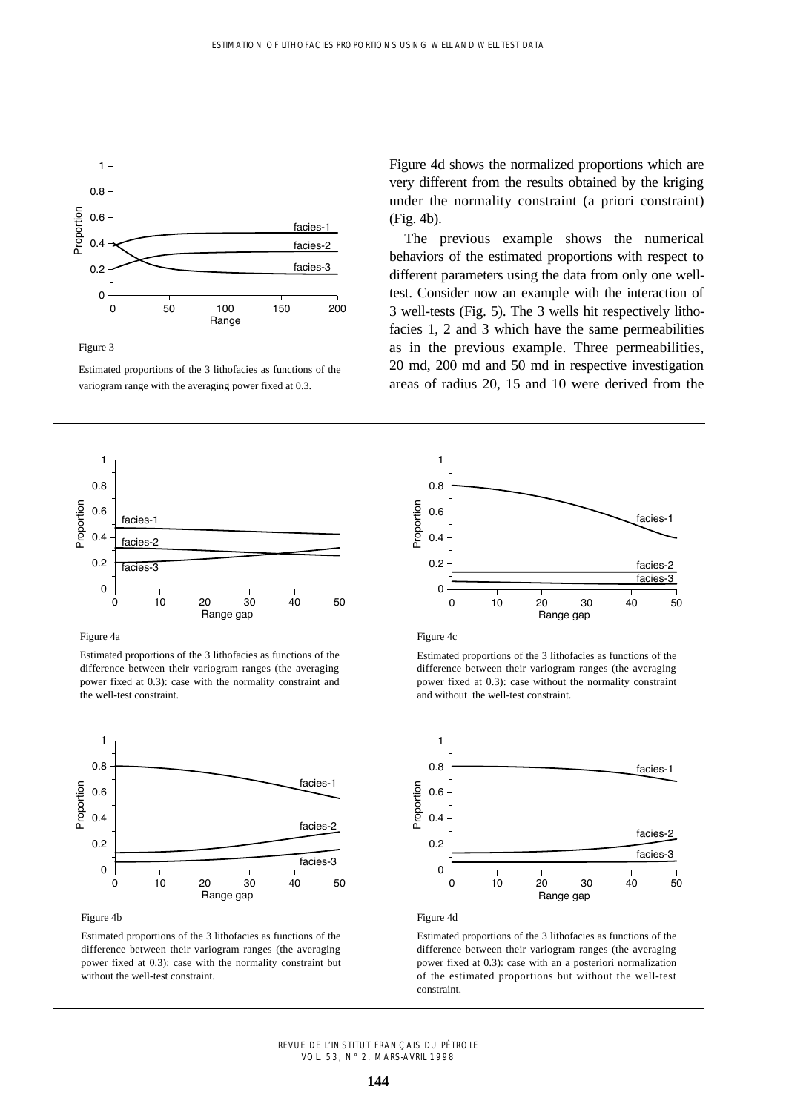

Figure 3

Estimated proportions of the 3 lithofacies as functions of the variogram range with the averaging power fixed at 0.3.



Figure 4a

Estimated proportions of the 3 lithofacies as functions of the difference between their variogram ranges (the averaging power fixed at 0.3): case with the normality constraint and the well-test constraint.



Figure 4b

Estimated proportions of the 3 lithofacies as functions of the difference between their variogram ranges (the averaging power fixed at 0.3): case with the normality constraint but without the well-test constraint.

Figure 4d shows the normalized proportions which are very different from the results obtained by the kriging under the normality constraint (a priori constraint) (Fig. 4b).

The previous example shows the numerical behaviors of the estimated proportions with respect to different parameters using the data from only one welltest. Consider now an example with the interaction of 3 well-tests (Fig. 5). The 3 wells hit respectively lithofacies 1, 2 and 3 which have the same permeabilities as in the previous example. Three permeabilities, 20 md, 200 md and 50 md in respective investigation areas of radius 20, 15 and 10 were derived from the





Estimated proportions of the 3 lithofacies as functions of the difference between their variogram ranges (the averaging power fixed at 0.3): case without the normality constraint and without the well-test constraint.



Figure 4d

Estimated proportions of the 3 lithofacies as functions of the difference between their variogram ranges (the averaging power fixed at 0.3): case with an a posteriori normalization of the estimated proportions but without the well-test constraint.

REVUE DE L'INSTITUT FRANÇAIS DU PÉTROLE VOL. 53, N° 2, MARS-AVRIL 1998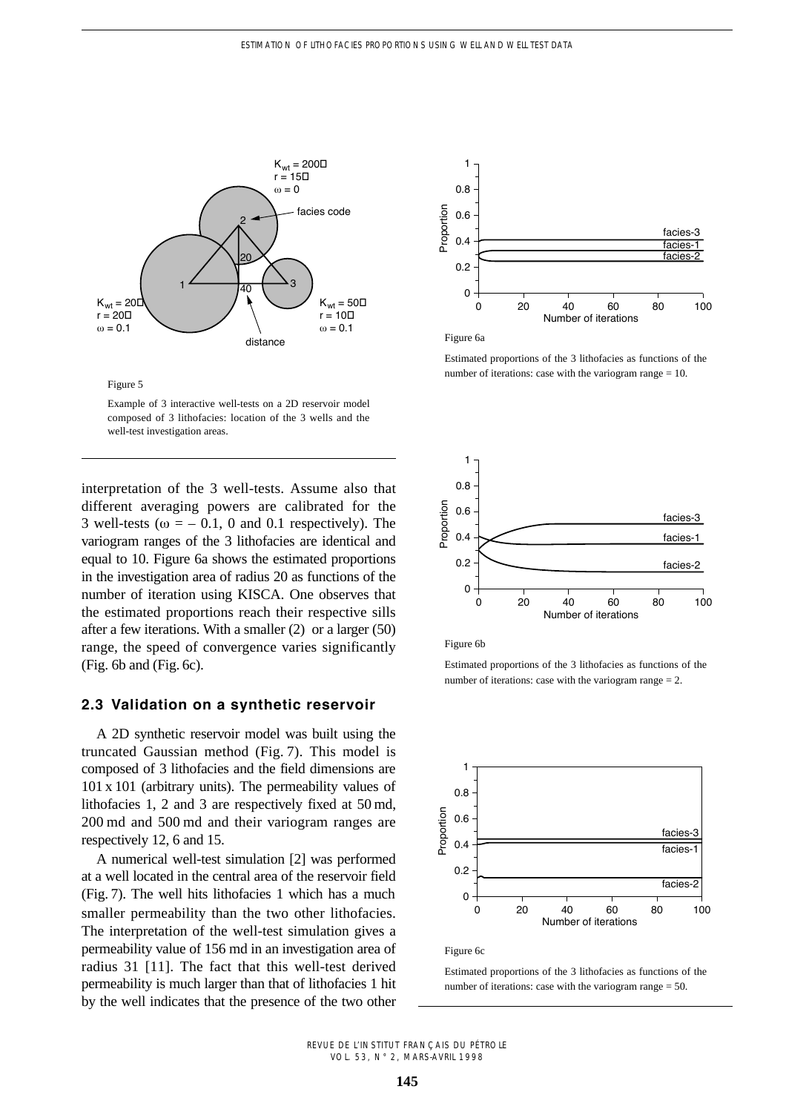



Example of 3 interactive well-tests on a 2D reservoir model composed of 3 lithofacies: location of the 3 wells and the well-test investigation areas.

interpretation of the 3 well-tests. Assume also that different averaging powers are calibrated for the 3 well-tests ( $\omega = -0.1$ , 0 and 0.1 respectively). The variogram ranges of the 3 lithofacies are identical and equal to 10. Figure 6a shows the estimated proportions in the investigation area of radius 20 as functions of the number of iteration using KISCA. One observes that the estimated proportions reach their respective sills after a few iterations. With a smaller (2) or a larger (50) range, the speed of convergence varies significantly (Fig. 6b and (Fig. 6c).

## **2.3 Validation on a synthetic reservoir**

A 2D synthetic reservoir model was built using the truncated Gaussian method (Fig. 7). This model is composed of 3 lithofacies and the field dimensions are 101 x 101 (arbitrary units). The permeability values of lithofacies 1, 2 and 3 are respectively fixed at 50 md, 200 md and 500 md and their variogram ranges are respectively 12, 6 and 15.

A numerical well-test simulation [2] was performed at a well located in the central area of the reservoir field (Fig. 7). The well hits lithofacies 1 which has a much smaller permeability than the two other lithofacies. The interpretation of the well-test simulation gives a permeability value of 156 md in an investigation area of radius 31 [11]. The fact that this well-test derived permeability is much larger than that of lithofacies 1 hit by the well indicates that the presence of the two other



Figure 6a

Estimated proportions of the 3 lithofacies as functions of the number of iterations: case with the variogram range = 10.



Figure 6b

Estimated proportions of the 3 lithofacies as functions of the number of iterations: case with the variogram range = 2.



Figure 6c

Estimated proportions of the 3 lithofacies as functions of the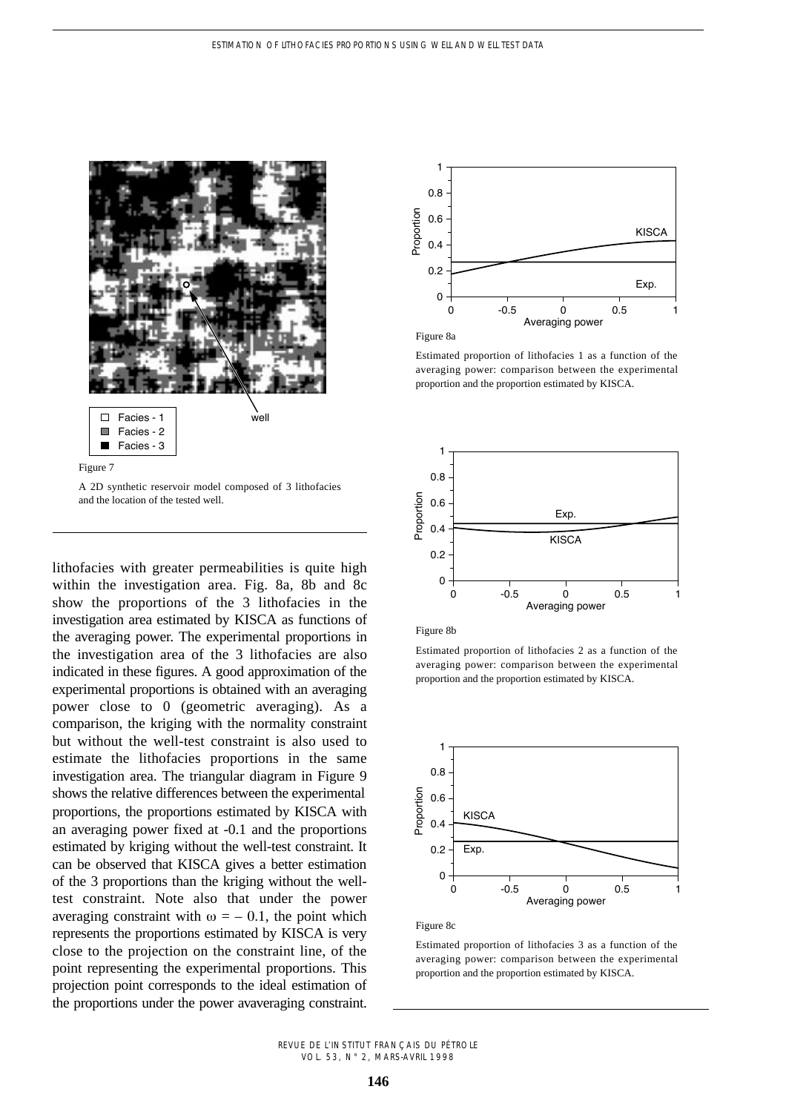

A 2D synthetic reservoir model composed of 3 lithofacies and the location of the tested well.

lithofacies with greater permeabilities is quite high within the investigation area. Fig. 8a, 8b and 8c show the proportions of the 3 lithofacies in the investigation area estimated by KISCA as functions of the averaging power. The experimental proportions in the investigation area of the 3 lithofacies are also indicated in these figures. A good approximation of the experimental proportions is obtained with an averaging power close to 0 (geometric averaging). As a comparison, the kriging with the normality constraint but without the well-test constraint is also used to estimate the lithofacies proportions in the same investigation area. The triangular diagram in Figure 9 shows the relative differences between the experimental proportions, the proportions estimated by KISCA with an averaging power fixed at -0.1 and the proportions estimated by kriging without the well-test constraint. It can be observed that KISCA gives a better estimation of the 3 proportions than the kriging without the welltest constraint. Note also that under the power averaging constraint with  $\omega = -0.1$ , the point which represents the proportions estimated by KISCA is very close to the projection on the constraint line, of the point representing the experimental proportions. This projection point corresponds to the ideal estimation of the proportions under the power avaveraging constraint.



Figure 8a

Estimated proportion of lithofacies 1 as a function of the averaging power: comparison between the experimental proportion and the proportion estimated by KISCA.





Estimated proportion of lithofacies 2 as a function of the averaging power: comparison between the experimental proportion and the proportion estimated by KISCA.



#### Figure 8c

Estimated proportion of lithofacies 3 as a function of the averaging power: comparison between the experimental

#### REVUE DE L'INSTITUT FRANÇAIS DU PÉTROLE VOL. 53, N° 2, MARS-AVRIL 1998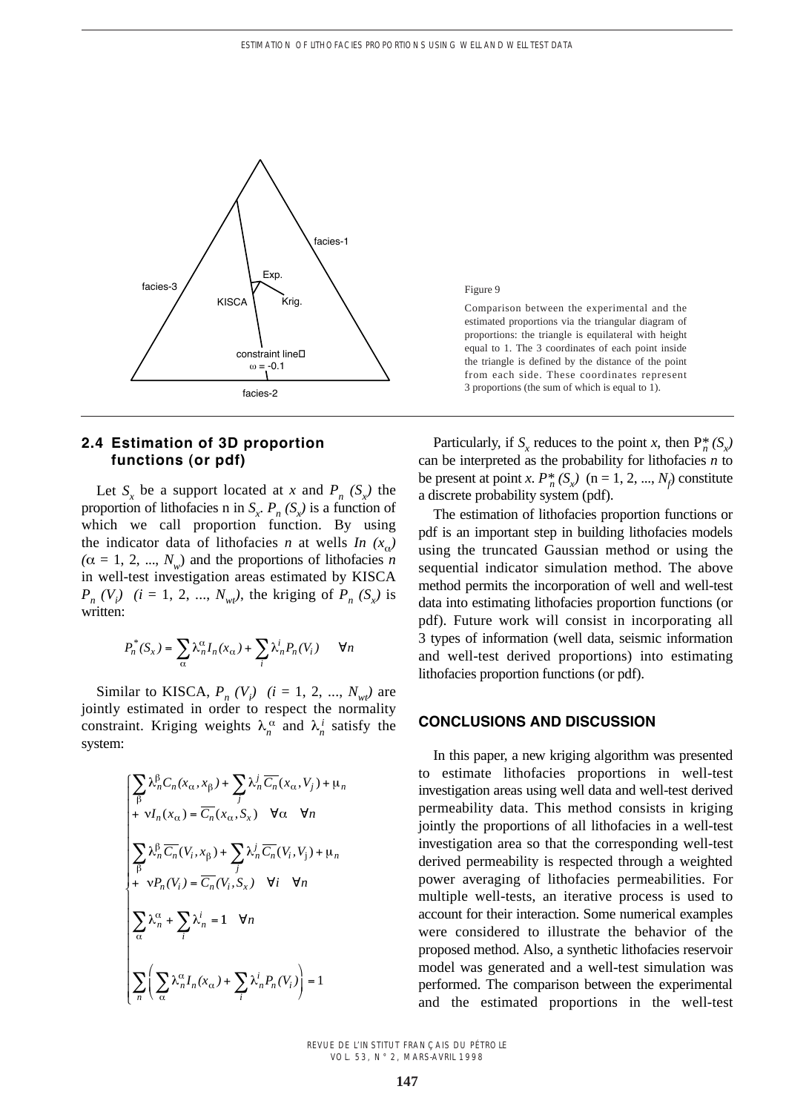

# **2.4 Estimation of 3D proportion functions (or pdf)**

Let  $S_x$  be a support located at *x* and  $P_n$   $(S_x)$  the proportion of lithofacies n in  $S_x$ ,  $P_n(S_x)$  is a function of which we call proportion function. By using the indicator data of lithofacies *n* at wells *In*  $(x_a)$  $(\alpha = 1, 2, ..., N_w)$  and the proportions of lithofacies *n* in well-test investigation areas estimated by KISCA  $P_n$  (*V<sub>i</sub>*) (*i* = 1, 2, ...,  $N_{wt}$ ), the kriging of  $P_n$  (*S<sub>x</sub>*) is written:

$$
P_n^*(S_x) = \sum_{\alpha} \lambda_n^{\alpha} I_n(x_{\alpha}) + \sum_i \lambda_n^i P_n(V_i) \qquad \forall n
$$

Similar to KISCA,  $P_n(V_i)$  ( $i = 1, 2, ..., N_{wt}$ ) are jointly estimated in order to respect the normality constraint. Kriging weights  $\lambda_n^{\alpha}$  and  $\lambda_n^i$  satisfy the system:

$$
\begin{cases}\n\sum_{\beta} \lambda_n^{\beta} C_n(x_{\alpha}, x_{\beta}) + \sum_{j} \lambda_n^j \overline{C_n}(x_{\alpha}, V_j) + \mu_n \\
+ \nu I_n(x_{\alpha}) = \overline{C_n}(x_{\alpha}, S_x) \quad \forall \alpha \quad \forall n \\
\sum_{\beta} \lambda_n^{\beta} \overline{C_n}(V_i, x_{\beta}) + \sum_{j} \lambda_n^j \overline{C_n}(V_i, V_j) + \mu_n \\
+ \nu P_n(V_i) = \overline{C_n}(V_i, S_x) \quad \forall i \quad \forall n \\
\sum_{\alpha} \lambda_n^{\alpha} + \sum_{i} \lambda_n^i = 1 \quad \forall n \\
\sum_{\alpha} \left( \sum_{\alpha} \lambda_n^{\alpha} I_n(x_{\alpha}) + \sum_{i} \lambda_n^i P_n(V_i) \right) = 1\n\end{cases}
$$

Figure 9

Comparison between the experimental and the estimated proportions via the triangular diagram of proportions: the triangle is equilateral with height equal to 1. The 3 coordinates of each point inside the triangle is defined by the distance of the point from each side. These coordinates represent 3 proportions (the sum of which is equal to 1).

Particularly, if  $S_x$  reduces to the point *x*, then  $P_n^*(S_x)$ can be interpreted as the probability for lithofacies *n* to be present at point *x*.  $P_n^*(S_x)$  (n = 1, 2, ...,  $N_f$ ) constitute a discrete probability system (pdf).

The estimation of lithofacies proportion functions or pdf is an important step in building lithofacies models using the truncated Gaussian method or using the sequential indicator simulation method. The above method permits the incorporation of well and well-test data into estimating lithofacies proportion functions (or pdf). Future work will consist in incorporating all 3 types of information (well data, seismic information and well-test derived proportions) into estimating lithofacies proportion functions (or pdf).

## **CONCLUSIONS AND DISCUSSION**

In this paper, a new kriging algorithm was presented to estimate lithofacies proportions in well-test investigation areas using well data and well-test derived permeability data. This method consists in kriging jointly the proportions of all lithofacies in a well-test investigation area so that the corresponding well-test derived permeability is respected through a weighted power averaging of lithofacies permeabilities. For multiple well-tests, an iterative process is used to account for their interaction. Some numerical examples were considered to illustrate the behavior of the proposed method. Also, a synthetic lithofacies reservoir model was generated and a well-test simulation was performed. The comparison between the experimental and the estimated proportions in the well-test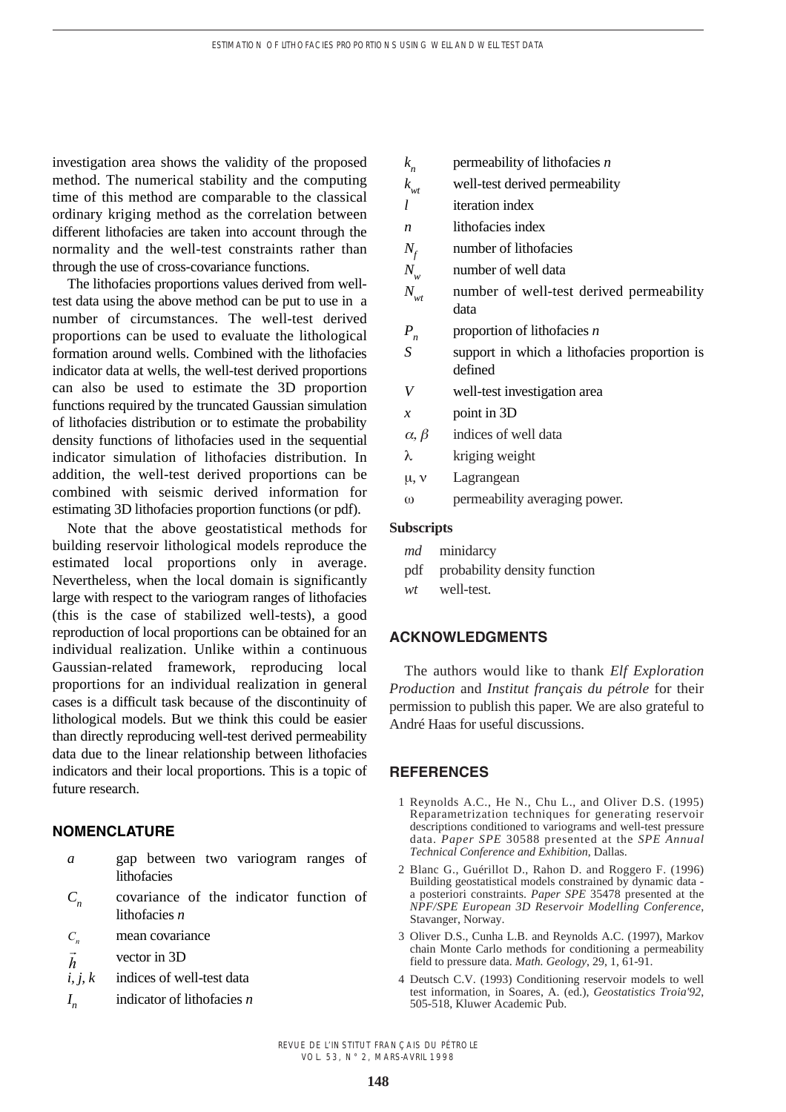investigation area shows the validity of the proposed method. The numerical stability and the computing time of this method are comparable to the classical ordinary kriging method as the correlation between different lithofacies are taken into account through the normality and the well-test constraints rather than through the use of cross-covariance functions.

The lithofacies proportions values derived from welltest data using the above method can be put to use in a number of circumstances. The well-test derived proportions can be used to evaluate the lithological formation around wells. Combined with the lithofacies indicator data at wells, the well-test derived proportions can also be used to estimate the 3D proportion functions required by the truncated Gaussian simulation of lithofacies distribution or to estimate the probability density functions of lithofacies used in the sequential indicator simulation of lithofacies distribution. In addition, the well-test derived proportions can be combined with seismic derived information for estimating 3D lithofacies proportion functions (or pdf).

Note that the above geostatistical methods for building reservoir lithological models reproduce the estimated local proportions only in average. Nevertheless, when the local domain is significantly large with respect to the variogram ranges of lithofacies (this is the case of stabilized well-tests), a good reproduction of local proportions can be obtained for an individual realization. Unlike within a continuous Gaussian-related framework, reproducing local proportions for an individual realization in general cases is a difficult task because of the discontinuity of lithological models. But we think this could be easier than directly reproducing well-test derived permeability data due to the linear relationship between lithofacies indicators and their local proportions. This is a topic of future research.

# **NOMENCLATURE**

- *a* gap between two variogram ranges of lithofacies
- *C<sub>n</sub>* covariance of the indicator function of lithofacies *n*
- mean covariance  $C_n$
- vector in 3D  $\overline{a}$ *h*
- *i, j, k* indices of well-test data
- *I <sup>n</sup>* indicator of lithofacies *n*

|                   | $k_{n}$           | permeability of lithofacies $n$                         |
|-------------------|-------------------|---------------------------------------------------------|
|                   | $k_{wt}$          | well-test derived permeability                          |
|                   | l                 | iteration index                                         |
|                   | n                 | lithofacies index                                       |
|                   | $N_f$             | number of lithofacies                                   |
|                   | $N_{w}$           | number of well data                                     |
|                   | $N_{\mathit{wt}}$ | number of well-test derived permeability<br>data        |
|                   | $P_n$             | proportion of lithofacies $n$                           |
|                   | S                 | support in which a lithofacies proportion is<br>defined |
|                   | V                 | well-test investigation area                            |
|                   | $\mathcal{X}$     | point in 3D                                             |
|                   | $\alpha, \beta$   | indices of well data                                    |
|                   | λ                 | kriging weight                                          |
|                   | $\mu, \nu$        | Lagrangean                                              |
|                   | $\omega$          | permeability averaging power.                           |
| <b>Subscripts</b> |                   |                                                         |

- *md* minidarcy
- pdf probability density function
- *wt* well-test.

## **ACKNOWLEDGMENTS**

The authors would like to thank *Elf Exploration Production* and *Institut français du pétrole* for their permission to publish this paper. We are also grateful to André Haas for useful discussions.

## **REFERENCES**

- 1 Reynolds A.C., He N., Chu L., and Oliver D.S. (1995) Reparametrization techniques for generating reservoir descriptions conditioned to variograms and well-test pressure data. *Paper SPE* 30588 presented at the *SPE Annual Technical Conference and Exhibition*, Dallas.
- 2 Blanc G., Guérillot D., Rahon D. and Roggero F. (1996) Building geostatistical models constrained by dynamic data a posteriori constraints. *Paper SPE* 35478 presented at the *NPF/SPE European 3D Reservoir Modelling Conference*, Stavanger, Norway.
- 3 Oliver D.S., Cunha L.B. and Reynolds A.C. (1997), Markov chain Monte Carlo methods for conditioning a permeability field to pressure data. *Math. Geology*, 29, 1, 61-91.
- 4 Deutsch C.V. (1993) Conditioning reservoir models to well test information, in Soares, A. (ed.), *Geostatistics Troia'92*, 505-518, Kluwer Academic Pub.